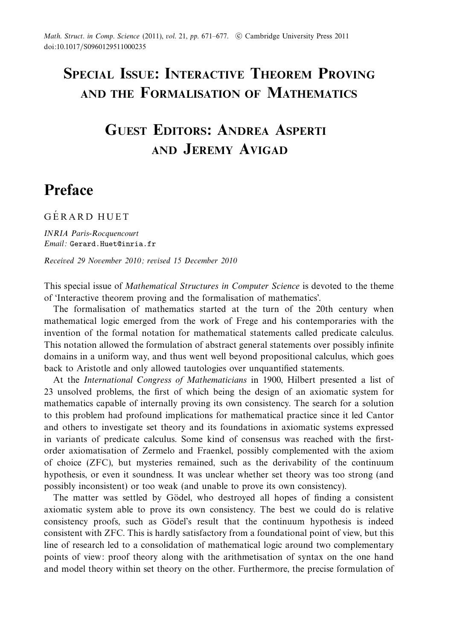## **SPECIAL ISSUE: INTERACTIVE THEOREM PROVING AND THE FORMALISATION OF MATHEMATICS**

## **GUEST EDITORS: ANDREA ASPERTI AND JEREMY AVIGAD**

## **Preface**

GÉRARD HUET

INRIA Paris-Rocquencourt Email: Gerard.Huet@inria.fr

Received 29 November 2010; revised 15 December 2010

This special issue of Mathematical Structures in Computer Science is devoted to the theme of 'Interactive theorem proving and the formalisation of mathematics'.

The formalisation of mathematics started at the turn of the 20th century when mathematical logic emerged from the work of Frege and his contemporaries with the invention of the formal notation for mathematical statements called predicate calculus. This notation allowed the formulation of abstract general statements over possibly infinite domains in a uniform way, and thus went well beyond propositional calculus, which goes back to Aristotle and only allowed tautologies over unquantified statements.

At the International Congress of Mathematicians in 1900, Hilbert presented a list of 23 unsolved problems, the first of which being the design of an axiomatic system for mathematics capable of internally proving its own consistency. The search for a solution to this problem had profound implications for mathematical practice since it led Cantor and others to investigate set theory and its foundations in axiomatic systems expressed in variants of predicate calculus. Some kind of consensus was reached with the firstorder axiomatisation of Zermelo and Fraenkel, possibly complemented with the axiom of choice (ZFC), but mysteries remained, such as the derivability of the continuum hypothesis, or even it soundness. It was unclear whether set theory was too strong (and possibly inconsistent) or too weak (and unable to prove its own consistency).

The matter was settled by Gödel, who destroyed all hopes of finding a consistent axiomatic system able to prove its own consistency. The best we could do is relative consistency proofs, such as Gödel's result that the continuum hypothesis is indeed consistent with ZFC. This is hardly satisfactory from a foundational point of view, but this line of research led to a consolidation of mathematical logic around two complementary points of view: proof theory along with the arithmetisation of syntax on the one hand and model theory within set theory on the other. Furthermore, the precise formulation of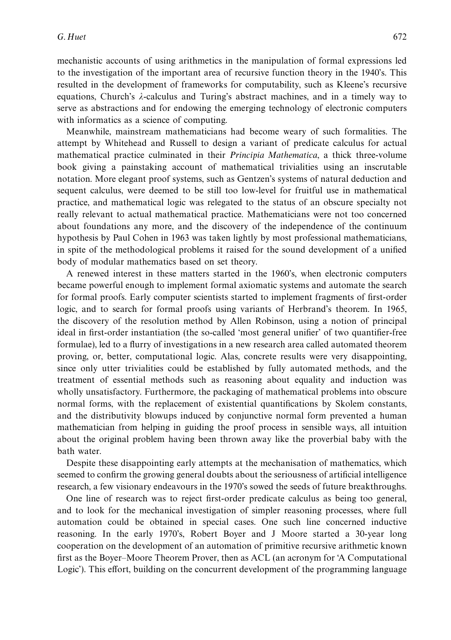mechanistic accounts of using arithmetics in the manipulation of formal expressions led to the investigation of the important area of recursive function theory in the 1940's. This resulted in the development of frameworks for computability, such as Kleene's recursive equations, Church's *λ*-calculus and Turing's abstract machines, and in a timely way to serve as abstractions and for endowing the emerging technology of electronic computers with informatics as a science of computing.

Meanwhile, mainstream mathematicians had become weary of such formalities. The attempt by Whitehead and Russell to design a variant of predicate calculus for actual mathematical practice culminated in their Principia Mathematica, a thick three-volume book giving a painstaking account of mathematical trivialities using an inscrutable notation. More elegant proof systems, such as Gentzen's systems of natural deduction and sequent calculus, were deemed to be still too low-level for fruitful use in mathematical practice, and mathematical logic was relegated to the status of an obscure specialty not really relevant to actual mathematical practice. Mathematicians were not too concerned about foundations any more, and the discovery of the independence of the continuum hypothesis by Paul Cohen in 1963 was taken lightly by most professional mathematicians, in spite of the methodological problems it raised for the sound development of a unified body of modular mathematics based on set theory.

A renewed interest in these matters started in the 1960's, when electronic computers became powerful enough to implement formal axiomatic systems and automate the search for formal proofs. Early computer scientists started to implement fragments of first-order logic, and to search for formal proofs using variants of Herbrand's theorem. In 1965, the discovery of the resolution method by Allen Robinson, using a notion of principal ideal in first-order instantiation (the so-called 'most general unifier' of two quantifier-free formulae), led to a flurry of investigations in a new research area called automated theorem proving, or, better, computational logic. Alas, concrete results were very disappointing, since only utter trivialities could be established by fully automated methods, and the treatment of essential methods such as reasoning about equality and induction was wholly unsatisfactory. Furthermore, the packaging of mathematical problems into obscure normal forms, with the replacement of existential quantifications by Skolem constants, and the distributivity blowups induced by conjunctive normal form prevented a human mathematician from helping in guiding the proof process in sensible ways, all intuition about the original problem having been thrown away like the proverbial baby with the bath water.

Despite these disappointing early attempts at the mechanisation of mathematics, which seemed to confirm the growing general doubts about the seriousness of artificial intelligence research, a few visionary endeavours in the 1970's sowed the seeds of future breakthroughs.

One line of research was to reject first-order predicate calculus as being too general, and to look for the mechanical investigation of simpler reasoning processes, where full automation could be obtained in special cases. One such line concerned inductive reasoning. In the early 1970's, Robert Boyer and J Moore started a 30-year long cooperation on the development of an automation of primitive recursive arithmetic known first as the Boyer–Moore Theorem Prover, then as ACL (an acronym for 'A Computational Logic'). This effort, building on the concurrent development of the programming language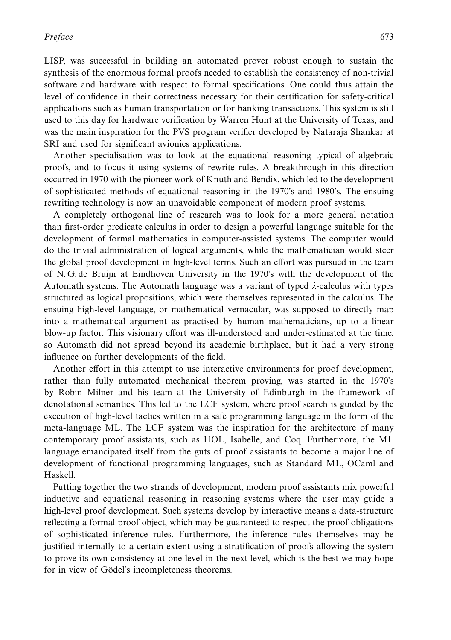LISP, was successful in building an automated prover robust enough to sustain the synthesis of the enormous formal proofs needed to establish the consistency of non-trivial software and hardware with respect to formal specifications. One could thus attain the level of confidence in their correctness necessary for their certification for safety-critical applications such as human transportation or for banking transactions. This system is still used to this day for hardware verification by Warren Hunt at the University of Texas, and was the main inspiration for the PVS program verifier developed by Nataraja Shankar at SRI and used for significant avionics applications.

Another specialisation was to look at the equational reasoning typical of algebraic proofs, and to focus it using systems of rewrite rules. A breakthrough in this direction occurred in 1970 with the pioneer work of Knuth and Bendix, which led to the development of sophisticated methods of equational reasoning in the 1970's and 1980's. The ensuing rewriting technology is now an unavoidable component of modern proof systems.

A completely orthogonal line of research was to look for a more general notation than first-order predicate calculus in order to design a powerful language suitable for the development of formal mathematics in computer-assisted systems. The computer would do the trivial administration of logical arguments, while the mathematician would steer the global proof development in high-level terms. Such an effort was pursued in the team of N. G. de Bruijn at Eindhoven University in the 1970's with the development of the Automath systems. The Automath language was a variant of typed *λ*-calculus with types structured as logical propositions, which were themselves represented in the calculus. The ensuing high-level language, or mathematical vernacular, was supposed to directly map into a mathematical argument as practised by human mathematicians, up to a linear blow-up factor. This visionary effort was ill-understood and under-estimated at the time, so Automath did not spread beyond its academic birthplace, but it had a very strong influence on further developments of the field.

Another effort in this attempt to use interactive environments for proof development, rather than fully automated mechanical theorem proving, was started in the 1970's by Robin Milner and his team at the University of Edinburgh in the framework of denotational semantics. This led to the LCF system, where proof search is guided by the execution of high-level tactics written in a safe programming language in the form of the meta-language ML. The LCF system was the inspiration for the architecture of many contemporary proof assistants, such as HOL, Isabelle, and Coq. Furthermore, the ML language emancipated itself from the guts of proof assistants to become a major line of development of functional programming languages, such as Standard ML, OCaml and Haskell.

Putting together the two strands of development, modern proof assistants mix powerful inductive and equational reasoning in reasoning systems where the user may guide a high-level proof development. Such systems develop by interactive means a data-structure reflecting a formal proof object, which may be guaranteed to respect the proof obligations of sophisticated inference rules. Furthermore, the inference rules themselves may be justified internally to a certain extent using a stratification of proofs allowing the system to prove its own consistency at one level in the next level, which is the best we may hope for in view of Gödel's incompleteness theorems.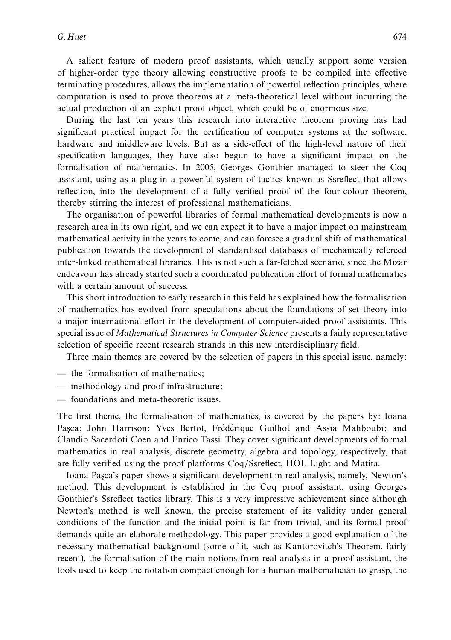A salient feature of modern proof assistants, which usually support some version of higher-order type theory allowing constructive proofs to be compiled into effective terminating procedures, allows the implementation of powerful reflection principles, where computation is used to prove theorems at a meta-theoretical level without incurring the actual production of an explicit proof object, which could be of enormous size.

During the last ten years this research into interactive theorem proving has had significant practical impact for the certification of computer systems at the software, hardware and middleware levels. But as a side-effect of the high-level nature of their specification languages, they have also begun to have a significant impact on the formalisation of mathematics. In 2005, Georges Gonthier managed to steer the Coq assistant, using as a plug-in a powerful system of tactics known as Ssreflect that allows reflection, into the development of a fully verified proof of the four-colour theorem, thereby stirring the interest of professional mathematicians.

The organisation of powerful libraries of formal mathematical developments is now a research area in its own right, and we can expect it to have a major impact on mainstream mathematical activity in the years to come, and can foresee a gradual shift of mathematical publication towards the development of standardised databases of mechanically refereed inter-linked mathematical libraries. This is not such a far-fetched scenario, since the Mizar endeavour has already started such a coordinated publication effort of formal mathematics with a certain amount of success.

This short introduction to early research in this field has explained how the formalisation of mathematics has evolved from speculations about the foundations of set theory into a major international effort in the development of computer-aided proof assistants. This special issue of Mathematical Structures in Computer Science presents a fairly representative selection of specific recent research strands in this new interdisciplinary field.

Three main themes are covered by the selection of papers in this special issue, namely:

- **—** the formalisation of mathematics;
- **—** methodology and proof infrastructure;
- **—** foundations and meta-theoretic issues.

The first theme, the formalisation of mathematics, is covered by the papers by: Ioana Pasca; John Harrison; Yves Bertot, Frédérique Guilhot and Assia Mahboubi; and Claudio Sacerdoti Coen and Enrico Tassi. They cover significant developments of formal mathematics in real analysis, discrete geometry, algebra and topology, respectively, that are fully verified using the proof platforms Coq/Ssreflect, HOL Light and Matita.

Ioana Pasca's paper shows a significant development in real analysis, namely, Newton's method. This development is established in the Coq proof assistant, using Georges Gonthier's Ssreflect tactics library. This is a very impressive achievement since although Newton's method is well known, the precise statement of its validity under general conditions of the function and the initial point is far from trivial, and its formal proof demands quite an elaborate methodology. This paper provides a good explanation of the necessary mathematical background (some of it, such as Kantorovitch's Theorem, fairly recent), the formalisation of the main notions from real analysis in a proof assistant, the tools used to keep the notation compact enough for a human mathematician to grasp, the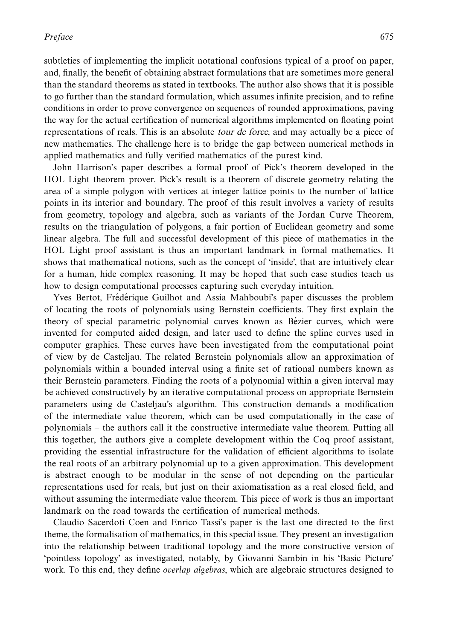subtleties of implementing the implicit notational confusions typical of a proof on paper, and, finally, the benefit of obtaining abstract formulations that are sometimes more general than the standard theorems as stated in textbooks. The author also shows that it is possible to go further than the standard formulation, which assumes infinite precision, and to refine conditions in order to prove convergence on sequences of rounded approximations, paving the way for the actual certification of numerical algorithms implemented on floating point representations of reals. This is an absolute *tour de force*, and may actually be a piece of new mathematics. The challenge here is to bridge the gap between numerical methods in applied mathematics and fully verified mathematics of the purest kind.

John Harrison's paper describes a formal proof of Pick's theorem developed in the HOL Light theorem prover. Pick's result is a theorem of discrete geometry relating the area of a simple polygon with vertices at integer lattice points to the number of lattice points in its interior and boundary. The proof of this result involves a variety of results from geometry, topology and algebra, such as variants of the Jordan Curve Theorem, results on the triangulation of polygons, a fair portion of Euclidean geometry and some linear algebra. The full and successful development of this piece of mathematics in the HOL Light proof assistant is thus an important landmark in formal mathematics. It shows that mathematical notions, such as the concept of 'inside', that are intuitively clear for a human, hide complex reasoning. It may be hoped that such case studies teach us how to design computational processes capturing such everyday intuition.

Yves Bertot, Frédérique Guilhot and Assia Mahboubi's paper discusses the problem of locating the roots of polynomials using Bernstein coefficients. They first explain the theory of special parametric polynomial curves known as Bézier curves, which were invented for computed aided design, and later used to define the spline curves used in computer graphics. These curves have been investigated from the computational point of view by de Casteljau. The related Bernstein polynomials allow an approximation of polynomials within a bounded interval using a finite set of rational numbers known as their Bernstein parameters. Finding the roots of a polynomial within a given interval may be achieved constructively by an iterative computational process on appropriate Bernstein parameters using de Casteljau's algorithm. This construction demands a modification of the intermediate value theorem, which can be used computationally in the case of polynomials – the authors call it the constructive intermediate value theorem. Putting all this together, the authors give a complete development within the Coq proof assistant, providing the essential infrastructure for the validation of efficient algorithms to isolate the real roots of an arbitrary polynomial up to a given approximation. This development is abstract enough to be modular in the sense of not depending on the particular representations used for reals, but just on their axiomatisation as a real closed field, and without assuming the intermediate value theorem. This piece of work is thus an important landmark on the road towards the certification of numerical methods.

Claudio Sacerdoti Coen and Enrico Tassi's paper is the last one directed to the first theme, the formalisation of mathematics, in this special issue. They present an investigation into the relationship between traditional topology and the more constructive version of 'pointless topology' as investigated, notably, by Giovanni Sambin in his 'Basic Picture' work. To this end, they define *overlap algebras*, which are algebraic structures designed to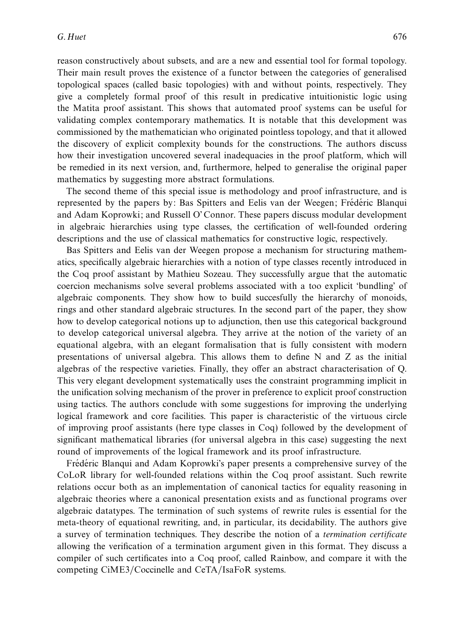reason constructively about subsets, and are a new and essential tool for formal topology. Their main result proves the existence of a functor between the categories of generalised topological spaces (called basic topologies) with and without points, respectively. They give a completely formal proof of this result in predicative intuitionistic logic using the Matita proof assistant. This shows that automated proof systems can be useful for validating complex contemporary mathematics. It is notable that this development was commissioned by the mathematician who originated pointless topology, and that it allowed the discovery of explicit complexity bounds for the constructions. The authors discuss how their investigation uncovered several inadequacies in the proof platform, which will be remedied in its next version, and, furthermore, helped to generalise the original paper mathematics by suggesting more abstract formulations.

The second theme of this special issue is methodology and proof infrastructure, and is represented by the papers by: Bas Spitters and Eelis van der Weegen; Frédéric Blanqui and Adam Koprowki; and Russell O' Connor. These papers discuss modular development in algebraic hierarchies using type classes, the certification of well-founded ordering descriptions and the use of classical mathematics for constructive logic, respectively.

Bas Spitters and Eelis van der Weegen propose a mechanism for structuring mathematics, specifically algebraic hierarchies with a notion of type classes recently introduced in the Coq proof assistant by Mathieu Sozeau. They successfully argue that the automatic coercion mechanisms solve several problems associated with a too explicit 'bundling' of algebraic components. They show how to build succesfully the hierarchy of monoids, rings and other standard algebraic structures. In the second part of the paper, they show how to develop categorical notions up to adjunction, then use this categorical background to develop categorical universal algebra. They arrive at the notion of the variety of an equational algebra, with an elegant formalisation that is fully consistent with modern presentations of universal algebra. This allows them to define N and Z as the initial algebras of the respective varieties. Finally, they offer an abstract characterisation of Q. This very elegant development systematically uses the constraint programming implicit in the unification solving mechanism of the prover in preference to explicit proof construction using tactics. The authors conclude with some suggestions for improving the underlying logical framework and core facilities. This paper is characteristic of the virtuous circle of improving proof assistants (here type classes in Coq) followed by the development of significant mathematical libraries (for universal algebra in this case) suggesting the next round of improvements of the logical framework and its proof infrastructure.

Frédéric Blanqui and Adam Koprowki's paper presents a comprehensive survey of the CoLoR library for well-founded relations within the Coq proof assistant. Such rewrite relations occur both as an implementation of canonical tactics for equality reasoning in algebraic theories where a canonical presentation exists and as functional programs over algebraic datatypes. The termination of such systems of rewrite rules is essential for the meta-theory of equational rewriting, and, in particular, its decidability. The authors give a survey of termination techniques. They describe the notion of a termination certificate allowing the verification of a termination argument given in this format. They discuss a compiler of such certificates into a Coq proof, called Rainbow, and compare it with the competing CiME3/Coccinelle and CeTA/IsaFoR systems.